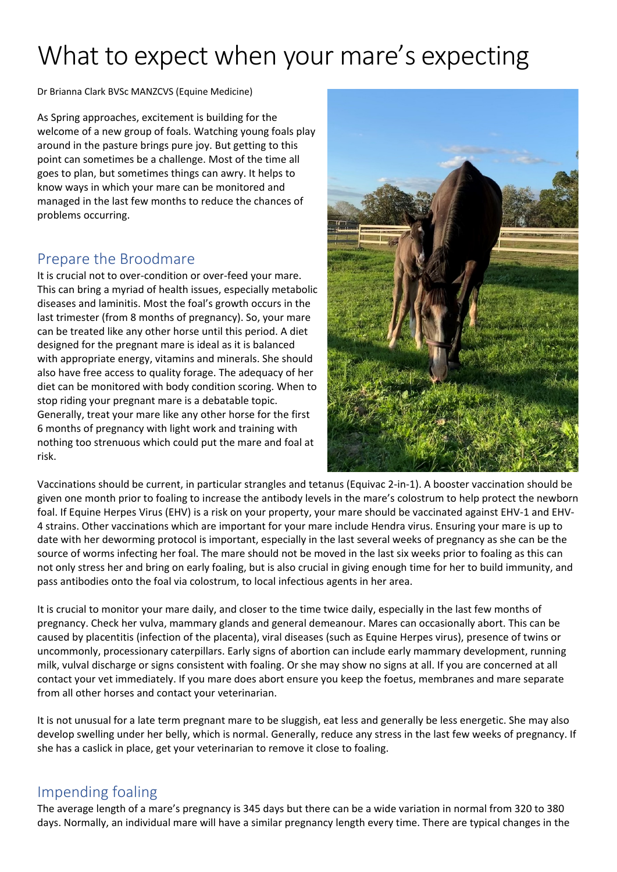## What to expect when your mare's expecting

Dr Brianna Clark BVSc MANZCVS (Equine Medicine)

As Spring approaches, excitement is building for the welcome of a new group of foals. Watching young foals play around in the pasture brings pure joy. But getting to this point can sometimes be a challenge. Most of the time all goes to plan, but sometimes things can awry. It helps to know ways in which your mare can be monitored and managed in the last few months to reduce the chances of problems occurring.

## Prepare the Broodmare

It is crucial not to over-condition or over-feed your mare. This can bring a myriad of health issues, especially metabolic diseases and laminitis. Most the foal's growth occurs in the last trimester (from 8 months of pregnancy). So, your mare can be treated like any other horse until this period. A diet designed for the pregnant mare is ideal as it is balanced with appropriate energy, vitamins and minerals. She should also have free access to quality forage. The adequacy of her diet can be monitored with body condition scoring. When to stop riding your pregnant mare is a debatable topic. Generally, treat your mare like any other horse for the first 6 months of pregnancy with light work and training with nothing too strenuous which could put the mare and foal at risk.



Vaccinations should be current, in particular strangles and tetanus (Equivac 2-in-1). A booster vaccination should be given one month prior to foaling to increase the antibody levels in the mare's colostrum to help protect the newborn foal. If Equine Herpes Virus (EHV) is a risk on your property, your mare should be vaccinated against EHV-1 and EHV-4 strains. Other vaccinations which are important for your mare include Hendra virus. Ensuring your mare is up to date with her deworming protocol is important, especially in the last several weeks of pregnancy as she can be the source of worms infecting her foal. The mare should not be moved in the last six weeks prior to foaling as this can not only stress her and bring on early foaling, but is also crucial in giving enough time for her to build immunity, and pass antibodies onto the foal via colostrum, to local infectious agents in her area.

It is crucial to monitor your mare daily, and closer to the time twice daily, especially in the last few months of pregnancy. Check her vulva, mammary glands and general demeanour. Mares can occasionally abort. This can be caused by placentitis (infection of the placenta), viral diseases (such as Equine Herpes virus), presence of twins or uncommonly, processionary caterpillars. Early signs of abortion can include early mammary development, running milk, vulval discharge or signs consistent with foaling. Or she may show no signs at all. If you are concerned at all contact your vet immediately. If you mare does abort ensure you keep the foetus, membranes and mare separate from all other horses and contact your veterinarian.

It is not unusual for a late term pregnant mare to be sluggish, eat less and generally be less energetic. She may also develop swelling under her belly, which is normal. Generally, reduce any stress in the last few weeks of pregnancy. If she has a caslick in place, get your veterinarian to remove it close to foaling.

## Impending foaling

The average length of a mare's pregnancy is 345 days but there can be a wide variation in normal from 320 to 380 days. Normally, an individual mare will have a similar pregnancy length every time. There are typical changes in the